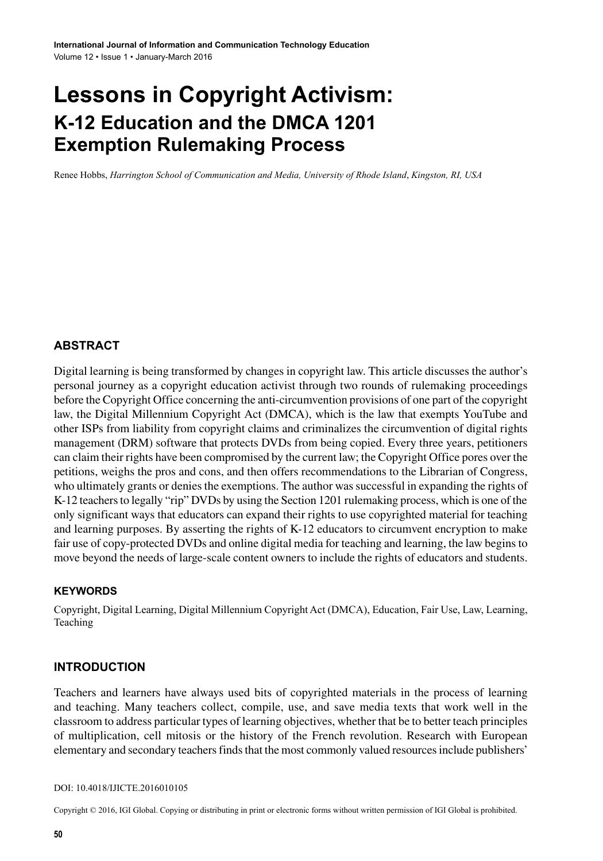# **Lessons in Copyright Activism: K-12 Education and the DMCA 1201 Exemption Rulemaking Process**

Renee Hobbs, *Harrington School of Communication and Media, University of Rhode Island*, *Kingston, RI, USA*

### **ABSTRACT**

Digital learning is being transformed by changes in copyright law. This article discusses the author's personal journey as a copyright education activist through two rounds of rulemaking proceedings before the Copyright Office concerning the anti-circumvention provisions of one part of the copyright law, the Digital Millennium Copyright Act (DMCA), which is the law that exempts YouTube and other ISPs from liability from copyright claims and criminalizes the circumvention of digital rights management (DRM) software that protects DVDs from being copied. Every three years, petitioners can claim their rights have been compromised by the current law; the Copyright Office pores over the petitions, weighs the pros and cons, and then offers recommendations to the Librarian of Congress, who ultimately grants or denies the exemptions. The author was successful in expanding the rights of K-12 teachers to legally "rip" DVDs by using the Section 1201 rulemaking process, which is one of the only significant ways that educators can expand their rights to use copyrighted material for teaching and learning purposes. By asserting the rights of K-12 educators to circumvent encryption to make fair use of copy-protected DVDs and online digital media for teaching and learning, the law begins to move beyond the needs of large-scale content owners to include the rights of educators and students.

#### **Keywords**

Copyright, Digital Learning, Digital Millennium Copyright Act (DMCA), Education, Fair Use, Law, Learning, Teaching

#### **INTRODUCTION**

Teachers and learners have always used bits of copyrighted materials in the process of learning and teaching. Many teachers collect, compile, use, and save media texts that work well in the classroom to address particular types of learning objectives, whether that be to better teach principles of multiplication, cell mitosis or the history of the French revolution. Research with European elementary and secondary teachers finds that the most commonly valued resources include publishers'

#### DOI: 10.4018/IJICTE.2016010105

Copyright © 2016, IGI Global. Copying or distributing in print or electronic forms without written permission of IGI Global is prohibited.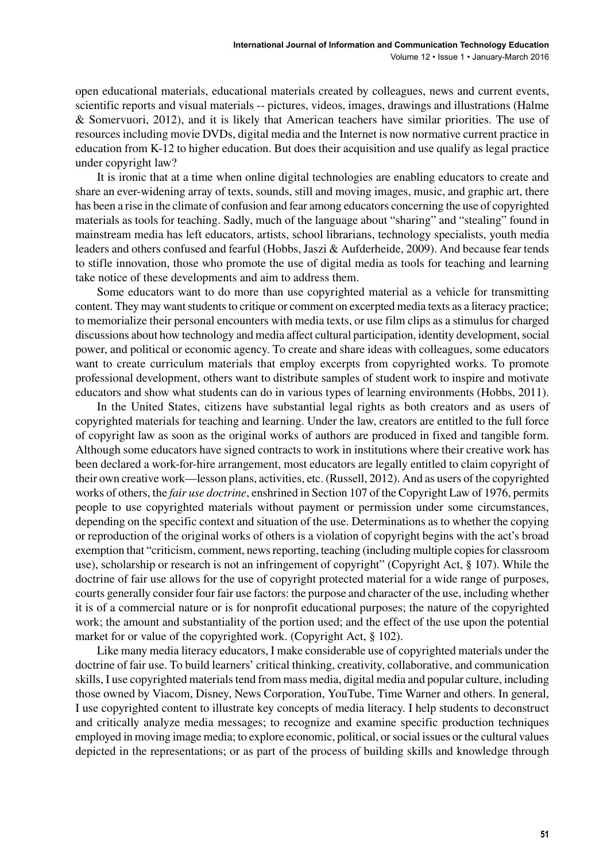open educational materials, educational materials created by colleagues, news and current events, scientific reports and visual materials -- pictures, videos, images, drawings and illustrations (Halme & Somervuori, 2012), and it is likely that American teachers have similar priorities. The use of resources including movie DVDs, digital media and the Internet is now normative current practice in education from K-12 to higher education. But does their acquisition and use qualify as legal practice under copyright law?

It is ironic that at a time when online digital technologies are enabling educators to create and share an ever-widening array of texts, sounds, still and moving images, music, and graphic art, there has been a rise in the climate of confusion and fear among educators concerning the use of copyrighted materials as tools for teaching. Sadly, much of the language about "sharing" and "stealing" found in mainstream media has left educators, artists, school librarians, technology specialists, youth media leaders and others confused and fearful (Hobbs, Jaszi & Aufderheide, 2009). And because fear tends to stifle innovation, those who promote the use of digital media as tools for teaching and learning take notice of these developments and aim to address them.

Some educators want to do more than use copyrighted material as a vehicle for transmitting content. They may want students to critique or comment on excerpted media texts as a literacy practice; to memorialize their personal encounters with media texts, or use film clips as a stimulus for charged discussions about how technology and media affect cultural participation, identity development, social power, and political or economic agency. To create and share ideas with colleagues, some educators want to create curriculum materials that employ excerpts from copyrighted works. To promote professional development, others want to distribute samples of student work to inspire and motivate educators and show what students can do in various types of learning environments (Hobbs, 2011).

In the United States, citizens have substantial legal rights as both creators and as users of copyrighted materials for teaching and learning. Under the law, creators are entitled to the full force of copyright law as soon as the original works of authors are produced in fixed and tangible form. Although some educators have signed contracts to work in institutions where their creative work has been declared a work-for-hire arrangement, most educators are legally entitled to claim copyright of their own creative work—lesson plans, activities, etc. (Russell, 2012). And as users of the copyrighted works of others, the *fair use doctrine*, enshrined in Section 107 of the Copyright Law of 1976, permits people to use copyrighted materials without payment or permission under some circumstances, depending on the specific context and situation of the use. Determinations as to whether the copying or reproduction of the original works of others is a violation of copyright begins with the act's broad exemption that "criticism, comment, news reporting, teaching (including multiple copies for classroom use), scholarship or research is not an infringement of copyright" (Copyright Act, § 107). While the doctrine of fair use allows for the use of copyright protected material for a wide range of purposes, courts generally consider four fair use factors: the purpose and character of the use, including whether it is of a commercial nature or is for nonprofit educational purposes; the nature of the copyrighted work; the amount and substantiality of the portion used; and the effect of the use upon the potential market for or value of the copyrighted work. (Copyright Act, § 102).

Like many media literacy educators, I make considerable use of copyrighted materials under the doctrine of fair use. To build learners' critical thinking, creativity, collaborative, and communication skills, I use copyrighted materials tend from mass media, digital media and popular culture, including those owned by Viacom, Disney, News Corporation, YouTube, Time Warner and others. In general, I use copyrighted content to illustrate key concepts of media literacy. I help students to deconstruct and critically analyze media messages; to recognize and examine specific production techniques employed in moving image media; to explore economic, political, or social issues or the cultural values depicted in the representations; or as part of the process of building skills and knowledge through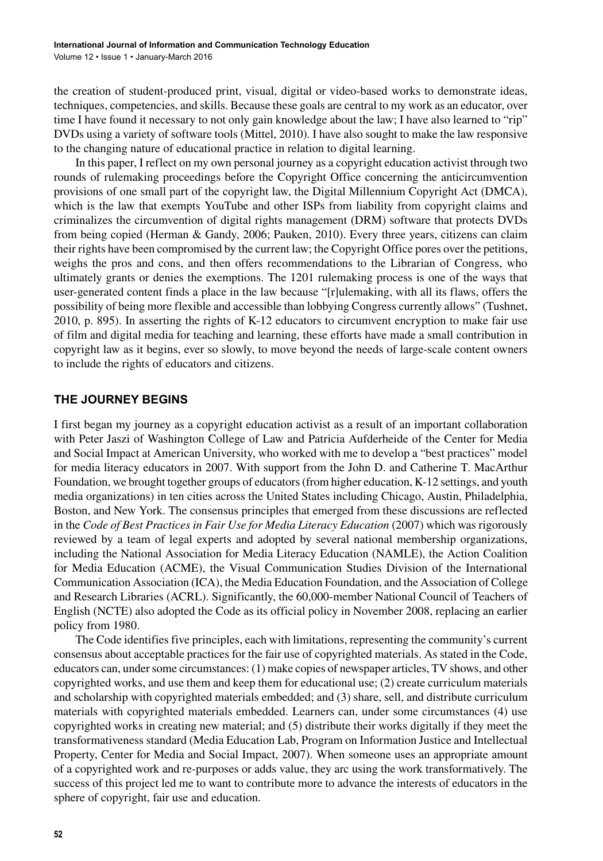the creation of student-produced print, visual, digital or video-based works to demonstrate ideas, techniques, competencies, and skills. Because these goals are central to my work as an educator, over time I have found it necessary to not only gain knowledge about the law; I have also learned to "rip" DVDs using a variety of software tools (Mittel, 2010). I have also sought to make the law responsive to the changing nature of educational practice in relation to digital learning.

In this paper, I reflect on my own personal journey as a copyright education activist through two rounds of rulemaking proceedings before the Copyright Office concerning the anticircumvention provisions of one small part of the copyright law, the Digital Millennium Copyright Act (DMCA), which is the law that exempts YouTube and other ISPs from liability from copyright claims and criminalizes the circumvention of digital rights management (DRM) software that protects DVDs from being copied (Herman & Gandy, 2006; Pauken, 2010). Every three years, citizens can claim their rights have been compromised by the current law; the Copyright Office pores over the petitions, weighs the pros and cons, and then offers recommendations to the Librarian of Congress, who ultimately grants or denies the exemptions. The 1201 rulemaking process is one of the ways that user-generated content finds a place in the law because "[r]ulemaking, with all its flaws, offers the possibility of being more flexible and accessible than lobbying Congress currently allows" (Tushnet, 2010, p. 895). In asserting the rights of K-12 educators to circumvent encryption to make fair use of film and digital media for teaching and learning, these efforts have made a small contribution in copyright law as it begins, ever so slowly, to move beyond the needs of large-scale content owners to include the rights of educators and citizens.

### **THE JOURNEY BEGINS**

I first began my journey as a copyright education activist as a result of an important collaboration with Peter Jaszi of Washington College of Law and Patricia Aufderheide of the Center for Media and Social Impact at American University, who worked with me to develop a "best practices" model for media literacy educators in 2007. With support from the John D. and Catherine T. MacArthur Foundation, we brought together groups of educators (from higher education, K-12 settings, and youth media organizations) in ten cities across the United States including Chicago, Austin, Philadelphia, Boston, and New York. The consensus principles that emerged from these discussions are reflected in the *Code of Best Practices in Fair Use for Media Literacy Education* (2007) which was rigorously reviewed by a team of legal experts and adopted by several national membership organizations, including the National Association for Media Literacy Education (NAMLE), the Action Coalition for Media Education (ACME), the Visual Communication Studies Division of the International Communication Association (ICA), the Media Education Foundation, and the Association of College and Research Libraries (ACRL). Significantly, the 60,000-member National Council of Teachers of English (NCTE) also adopted the Code as its official policy in November 2008, replacing an earlier policy from 1980.

The Code identifies five principles, each with limitations, representing the community's current consensus about acceptable practices for the fair use of copyrighted materials. As stated in the Code, educators can, under some circumstances: (1) make copies of newspaper articles, TV shows, and other copyrighted works, and use them and keep them for educational use; (2) create curriculum materials and scholarship with copyrighted materials embedded; and (3) share, sell, and distribute curriculum materials with copyrighted materials embedded. Learners can, under some circumstances (4) use copyrighted works in creating new material; and (5) distribute their works digitally if they meet the transformativeness standard (Media Education Lab, Program on Information Justice and Intellectual Property, Center for Media and Social Impact, 2007). When someone uses an appropriate amount of a copyrighted work and re-purposes or adds value, they arc using the work transformatively. The success of this project led me to want to contribute more to advance the interests of educators in the sphere of copyright, fair use and education.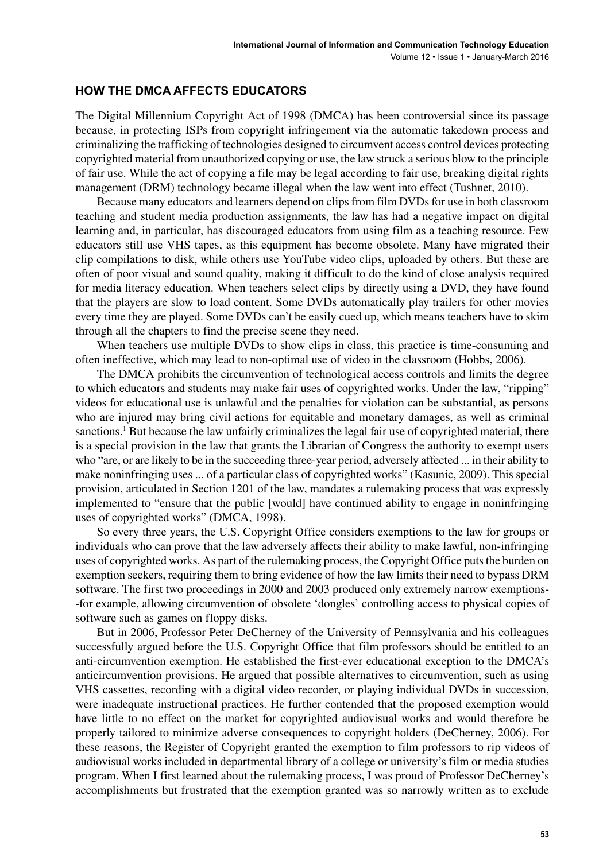#### **HOW THE DMCA AFFECTS EDUCATORS**

The Digital Millennium Copyright Act of 1998 (DMCA) has been controversial since its passage because, in protecting ISPs from copyright infringement via the automatic takedown process and criminalizing the trafficking of technologies designed to circumvent access control devices protecting copyrighted material from unauthorized copying or use, the law struck a serious blow to the principle of fair use. While the act of copying a file may be legal according to fair use, breaking digital rights management (DRM) technology became illegal when the law went into effect (Tushnet, 2010).

Because many educators and learners depend on clips from film DVDs for use in both classroom teaching and student media production assignments, the law has had a negative impact on digital learning and, in particular, has discouraged educators from using film as a teaching resource. Few educators still use VHS tapes, as this equipment has become obsolete. Many have migrated their clip compilations to disk, while others use YouTube video clips, uploaded by others. But these are often of poor visual and sound quality, making it difficult to do the kind of close analysis required for media literacy education. When teachers select clips by directly using a DVD, they have found that the players are slow to load content. Some DVDs automatically play trailers for other movies every time they are played. Some DVDs can't be easily cued up, which means teachers have to skim through all the chapters to find the precise scene they need.

When teachers use multiple DVDs to show clips in class, this practice is time-consuming and often ineffective, which may lead to non-optimal use of video in the classroom (Hobbs, 2006).

The DMCA prohibits the circumvention of technological access controls and limits the degree to which educators and students may make fair uses of copyrighted works. Under the law, "ripping" videos for educational use is unlawful and the penalties for violation can be substantial, as persons who are injured may bring civil actions for equitable and monetary damages, as well as criminal sanctions.1 But because the law unfairly criminalizes the legal fair use of copyrighted material, there is a special provision in the law that grants the Librarian of Congress the authority to exempt users who "are, or are likely to be in the succeeding three-year period, adversely affected ... in their ability to make noninfringing uses ... of a particular class of copyrighted works" (Kasunic, 2009). This special provision, articulated in Section 1201 of the law, mandates a rulemaking process that was expressly implemented to "ensure that the public [would] have continued ability to engage in noninfringing uses of copyrighted works" (DMCA, 1998).

So every three years, the U.S. Copyright Office considers exemptions to the law for groups or individuals who can prove that the law adversely affects their ability to make lawful, non-infringing uses of copyrighted works. As part of the rulemaking process, the Copyright Office puts the burden on exemption seekers, requiring them to bring evidence of how the law limits their need to bypass DRM software. The first two proceedings in 2000 and 2003 produced only extremely narrow exemptions- -for example, allowing circumvention of obsolete 'dongles' controlling access to physical copies of software such as games on floppy disks.

But in 2006, Professor Peter DeCherney of the University of Pennsylvania and his colleagues successfully argued before the U.S. Copyright Office that film professors should be entitled to an anti-circumvention exemption. He established the first-ever educational exception to the DMCA's anticircumvention provisions. He argued that possible alternatives to circumvention, such as using VHS cassettes, recording with a digital video recorder, or playing individual DVDs in succession, were inadequate instructional practices. He further contended that the proposed exemption would have little to no effect on the market for copyrighted audiovisual works and would therefore be properly tailored to minimize adverse consequences to copyright holders (DeCherney, 2006). For these reasons, the Register of Copyright granted the exemption to film professors to rip videos of audiovisual works included in departmental library of a college or university's film or media studies program. When I first learned about the rulemaking process, I was proud of Professor DeCherney's accomplishments but frustrated that the exemption granted was so narrowly written as to exclude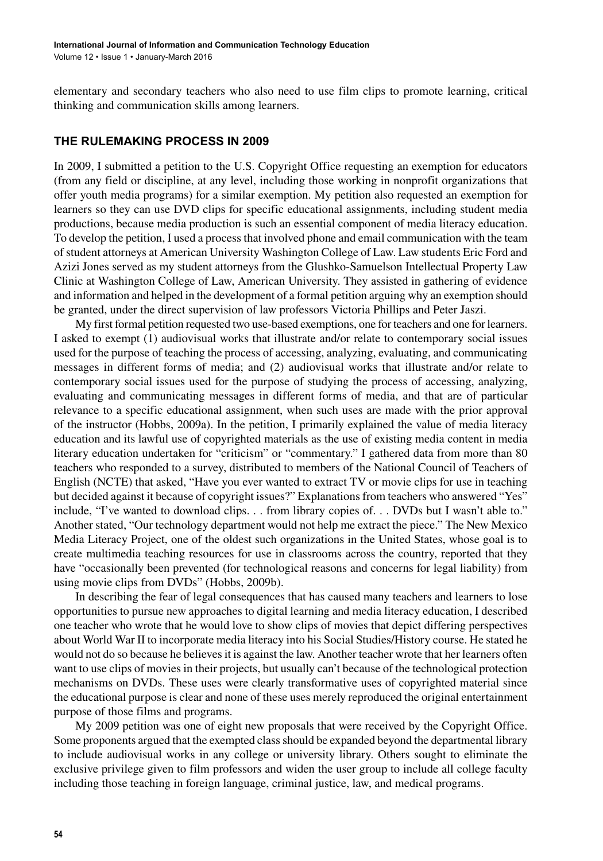elementary and secondary teachers who also need to use film clips to promote learning, critical thinking and communication skills among learners.

#### **THE RULEMAKING PROCESS IN 2009**

In 2009, I submitted a petition to the U.S. Copyright Office requesting an exemption for educators (from any field or discipline, at any level, including those working in nonprofit organizations that offer youth media programs) for a similar exemption. My petition also requested an exemption for learners so they can use DVD clips for specific educational assignments, including student media productions, because media production is such an essential component of media literacy education. To develop the petition, I used a process that involved phone and email communication with the team of student attorneys at American University Washington College of Law. Law students Eric Ford and Azizi Jones served as my student attorneys from the Glushko-Samuelson Intellectual Property Law Clinic at Washington College of Law, American University. They assisted in gathering of evidence and information and helped in the development of a formal petition arguing why an exemption should be granted, under the direct supervision of law professors Victoria Phillips and Peter Jaszi.

My first formal petition requested two use-based exemptions, one for teachers and one for learners. I asked to exempt (1) audiovisual works that illustrate and/or relate to contemporary social issues used for the purpose of teaching the process of accessing, analyzing, evaluating, and communicating messages in different forms of media; and (2) audiovisual works that illustrate and/or relate to contemporary social issues used for the purpose of studying the process of accessing, analyzing, evaluating and communicating messages in different forms of media, and that are of particular relevance to a specific educational assignment, when such uses are made with the prior approval of the instructor (Hobbs, 2009a). In the petition, I primarily explained the value of media literacy education and its lawful use of copyrighted materials as the use of existing media content in media literary education undertaken for "criticism" or "commentary." I gathered data from more than 80 teachers who responded to a survey, distributed to members of the National Council of Teachers of English (NCTE) that asked, "Have you ever wanted to extract TV or movie clips for use in teaching but decided against it because of copyright issues?" Explanations from teachers who answered "Yes" include, "I've wanted to download clips. . . from library copies of. . . DVDs but I wasn't able to." Another stated, "Our technology department would not help me extract the piece." The New Mexico Media Literacy Project, one of the oldest such organizations in the United States, whose goal is to create multimedia teaching resources for use in classrooms across the country, reported that they have "occasionally been prevented (for technological reasons and concerns for legal liability) from using movie clips from DVDs" (Hobbs, 2009b).

In describing the fear of legal consequences that has caused many teachers and learners to lose opportunities to pursue new approaches to digital learning and media literacy education, I described one teacher who wrote that he would love to show clips of movies that depict differing perspectives about World War II to incorporate media literacy into his Social Studies/History course. He stated he would not do so because he believes it is against the law. Another teacher wrote that her learners often want to use clips of movies in their projects, but usually can't because of the technological protection mechanisms on DVDs. These uses were clearly transformative uses of copyrighted material since the educational purpose is clear and none of these uses merely reproduced the original entertainment purpose of those films and programs.

My 2009 petition was one of eight new proposals that were received by the Copyright Office. Some proponents argued that the exempted class should be expanded beyond the departmental library to include audiovisual works in any college or university library. Others sought to eliminate the exclusive privilege given to film professors and widen the user group to include all college faculty including those teaching in foreign language, criminal justice, law, and medical programs.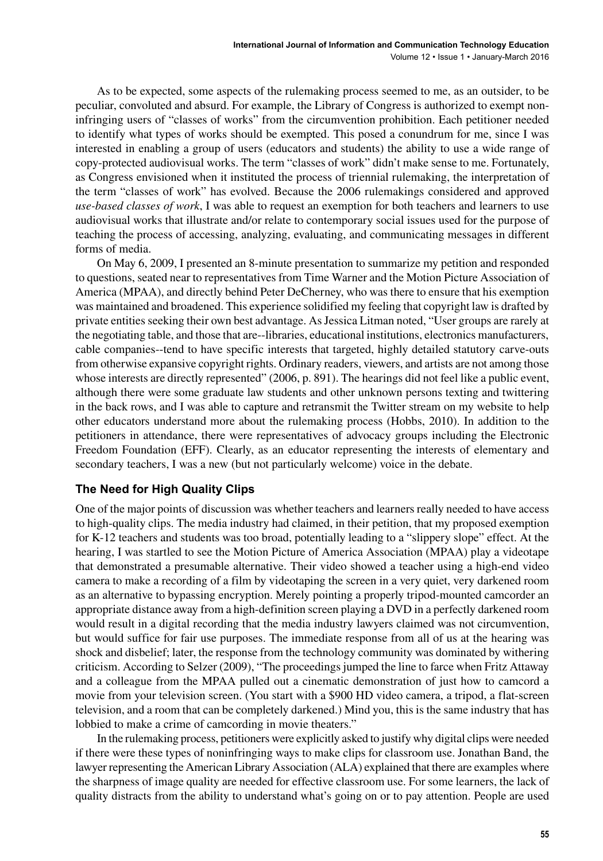As to be expected, some aspects of the rulemaking process seemed to me, as an outsider, to be peculiar, convoluted and absurd. For example, the Library of Congress is authorized to exempt noninfringing users of "classes of works" from the circumvention prohibition. Each petitioner needed to identify what types of works should be exempted. This posed a conundrum for me, since I was interested in enabling a group of users (educators and students) the ability to use a wide range of copy-protected audiovisual works. The term "classes of work" didn't make sense to me. Fortunately, as Congress envisioned when it instituted the process of triennial rulemaking, the interpretation of the term "classes of work" has evolved. Because the 2006 rulemakings considered and approved *use-based classes of work*, I was able to request an exemption for both teachers and learners to use audiovisual works that illustrate and/or relate to contemporary social issues used for the purpose of teaching the process of accessing, analyzing, evaluating, and communicating messages in different forms of media.

On May 6, 2009, I presented an 8-minute presentation to summarize my petition and responded to questions, seated near to representatives from Time Warner and the Motion Picture Association of America (MPAA), and directly behind Peter DeCherney, who was there to ensure that his exemption was maintained and broadened. This experience solidified my feeling that copyright law is drafted by private entities seeking their own best advantage. As Jessica Litman noted, "User groups are rarely at the negotiating table, and those that are--libraries, educational institutions, electronics manufacturers, cable companies--tend to have specific interests that targeted, highly detailed statutory carve-outs from otherwise expansive copyright rights. Ordinary readers, viewers, and artists are not among those whose interests are directly represented" (2006, p. 891). The hearings did not feel like a public event, although there were some graduate law students and other unknown persons texting and twittering in the back rows, and I was able to capture and retransmit the Twitter stream on my website to help other educators understand more about the rulemaking process (Hobbs, 2010). In addition to the petitioners in attendance, there were representatives of advocacy groups including the Electronic Freedom Foundation (EFF). Clearly, as an educator representing the interests of elementary and secondary teachers, I was a new (but not particularly welcome) voice in the debate.

### **The Need for High Quality Clips**

One of the major points of discussion was whether teachers and learners really needed to have access to high-quality clips. The media industry had claimed, in their petition, that my proposed exemption for K-12 teachers and students was too broad, potentially leading to a "slippery slope" effect. At the hearing, I was startled to see the Motion Picture of America Association (MPAA) play a videotape that demonstrated a presumable alternative. Their video showed a teacher using a high-end video camera to make a recording of a film by videotaping the screen in a very quiet, very darkened room as an alternative to bypassing encryption. Merely pointing a properly tripod-mounted camcorder an appropriate distance away from a high-definition screen playing a DVD in a perfectly darkened room would result in a digital recording that the media industry lawyers claimed was not circumvention, but would suffice for fair use purposes. The immediate response from all of us at the hearing was shock and disbelief; later, the response from the technology community was dominated by withering criticism. According to Selzer (2009), "The proceedings jumped the line to farce when Fritz Attaway and a colleague from the MPAA pulled out a cinematic demonstration of just how to camcord a movie from your television screen. (You start with a \$900 HD video camera, a tripod, a flat-screen television, and a room that can be completely darkened.) Mind you, this is the same industry that has lobbied to make a crime of camcording in movie theaters."

In the rulemaking process, petitioners were explicitly asked to justify why digital clips were needed if there were these types of noninfringing ways to make clips for classroom use. Jonathan Band, the lawyer representing the American Library Association (ALA) explained that there are examples where the sharpness of image quality are needed for effective classroom use. For some learners, the lack of quality distracts from the ability to understand what's going on or to pay attention. People are used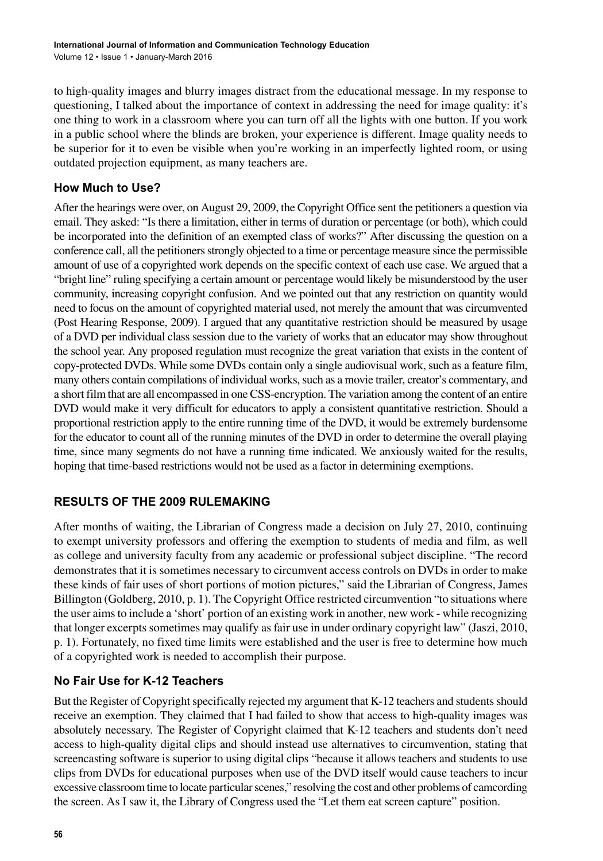to high-quality images and blurry images distract from the educational message. In my response to questioning, I talked about the importance of context in addressing the need for image quality: it's one thing to work in a classroom where you can turn off all the lights with one button. If you work in a public school where the blinds are broken, your experience is different. Image quality needs to be superior for it to even be visible when you're working in an imperfectly lighted room, or using outdated projection equipment, as many teachers are.

# **How Much to Use?**

After the hearings were over, on August 29, 2009, the Copyright Office sent the petitioners a question via email. They asked: "Is there a limitation, either in terms of duration or percentage (or both), which could be incorporated into the definition of an exempted class of works?" After discussing the question on a conference call, all the petitioners strongly objected to a time or percentage measure since the permissible amount of use of a copyrighted work depends on the specific context of each use case. We argued that a "bright line" ruling specifying a certain amount or percentage would likely be misunderstood by the user community, increasing copyright confusion. And we pointed out that any restriction on quantity would need to focus on the amount of copyrighted material used, not merely the amount that was circumvented (Post Hearing Response, 2009). I argued that any quantitative restriction should be measured by usage of a DVD per individual class session due to the variety of works that an educator may show throughout the school year. Any proposed regulation must recognize the great variation that exists in the content of copy-protected DVDs. While some DVDs contain only a single audiovisual work, such as a feature film, many others contain compilations of individual works, such as a movie trailer, creator's commentary, and a short film that are all encompassed in one CSS-encryption. The variation among the content of an entire DVD would make it very difficult for educators to apply a consistent quantitative restriction. Should a proportional restriction apply to the entire running time of the DVD, it would be extremely burdensome for the educator to count all of the running minutes of the DVD in order to determine the overall playing time, since many segments do not have a running time indicated. We anxiously waited for the results, hoping that time-based restrictions would not be used as a factor in determining exemptions.

# **RESULTS OF THE 2009 RULEMAKING**

After months of waiting, the Librarian of Congress made a decision on July 27, 2010, continuing to exempt university professors and offering the exemption to students of media and film, as well as college and university faculty from any academic or professional subject discipline. "The record demonstrates that it is sometimes necessary to circumvent access controls on DVDs in order to make these kinds of fair uses of short portions of motion pictures," said the Librarian of Congress, James Billington (Goldberg, 2010, p. 1). The Copyright Office restricted circumvention "to situations where the user aims to include a 'short' portion of an existing work in another, new work - while recognizing that longer excerpts sometimes may qualify as fair use in under ordinary copyright law" (Jaszi, 2010, p. 1). Fortunately, no fixed time limits were established and the user is free to determine how much of a copyrighted work is needed to accomplish their purpose.

# **No Fair Use for K-12 Teachers**

But the Register of Copyright specifically rejected my argument that K-12 teachers and students should receive an exemption. They claimed that I had failed to show that access to high-quality images was absolutely necessary. The Register of Copyright claimed that K-12 teachers and students don't need access to high-quality digital clips and should instead use alternatives to circumvention, stating that screencasting software is superior to using digital clips "because it allows teachers and students to use clips from DVDs for educational purposes when use of the DVD itself would cause teachers to incur excessive classroom time to locate particular scenes," resolving the cost and other problems of camcording the screen. As I saw it, the Library of Congress used the "Let them eat screen capture" position.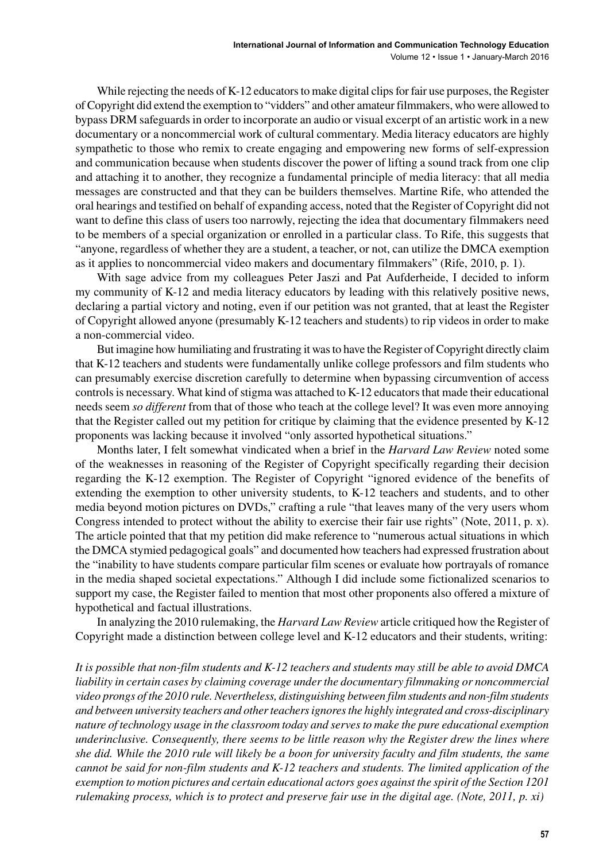While rejecting the needs of K-12 educators to make digital clips for fair use purposes, the Register of Copyright did extend the exemption to "vidders" and other amateur filmmakers, who were allowed to bypass DRM safeguards in order to incorporate an audio or visual excerpt of an artistic work in a new documentary or a noncommercial work of cultural commentary. Media literacy educators are highly sympathetic to those who remix to create engaging and empowering new forms of self-expression and communication because when students discover the power of lifting a sound track from one clip and attaching it to another, they recognize a fundamental principle of media literacy: that all media messages are constructed and that they can be builders themselves. Martine Rife, who attended the oral hearings and testified on behalf of expanding access, noted that the Register of Copyright did not want to define this class of users too narrowly, rejecting the idea that documentary filmmakers need to be members of a special organization or enrolled in a particular class. To Rife, this suggests that "anyone, regardless of whether they are a student, a teacher, or not, can utilize the DMCA exemption as it applies to noncommercial video makers and documentary filmmakers" (Rife, 2010, p. 1).

With sage advice from my colleagues Peter Jaszi and Pat Aufderheide, I decided to inform my community of K-12 and media literacy educators by leading with this relatively positive news, declaring a partial victory and noting, even if our petition was not granted, that at least the Register of Copyright allowed anyone (presumably K-12 teachers and students) to rip videos in order to make a non-commercial video.

But imagine how humiliating and frustrating it was to have the Register of Copyright directly claim that K-12 teachers and students were fundamentally unlike college professors and film students who can presumably exercise discretion carefully to determine when bypassing circumvention of access controls is necessary. What kind of stigma was attached to K-12 educators that made their educational needs seem *so different* from that of those who teach at the college level? It was even more annoying that the Register called out my petition for critique by claiming that the evidence presented by K-12 proponents was lacking because it involved "only assorted hypothetical situations."

Months later, I felt somewhat vindicated when a brief in the *Harvard Law Review* noted some of the weaknesses in reasoning of the Register of Copyright specifically regarding their decision regarding the K-12 exemption. The Register of Copyright "ignored evidence of the benefits of extending the exemption to other university students, to K-12 teachers and students, and to other media beyond motion pictures on DVDs," crafting a rule "that leaves many of the very users whom Congress intended to protect without the ability to exercise their fair use rights" (Note, 2011, p. x). The article pointed that that my petition did make reference to "numerous actual situations in which the DMCA stymied pedagogical goals" and documented how teachers had expressed frustration about the "inability to have students compare particular film scenes or evaluate how portrayals of romance in the media shaped societal expectations." Although I did include some fictionalized scenarios to support my case, the Register failed to mention that most other proponents also offered a mixture of hypothetical and factual illustrations.

In analyzing the 2010 rulemaking, the *Harvard Law Review* article critiqued how the Register of Copyright made a distinction between college level and K-12 educators and their students, writing:

*It is possible that non-film students and K-12 teachers and students may still be able to avoid DMCA liability in certain cases by claiming coverage under the documentary filmmaking or noncommercial video prongs of the 2010 rule. Nevertheless, distinguishing between film students and non-film students and between university teachers and other teachers ignores the highly integrated and cross-disciplinary nature of technology usage in the classroom today and serves to make the pure educational exemption underinclusive. Consequently, there seems to be little reason why the Register drew the lines where she did. While the 2010 rule will likely be a boon for university faculty and film students, the same cannot be said for non-film students and K-12 teachers and students. The limited application of the exemption to motion pictures and certain educational actors goes against the spirit of the Section 1201 rulemaking process, which is to protect and preserve fair use in the digital age. (Note, 2011, p. xi)*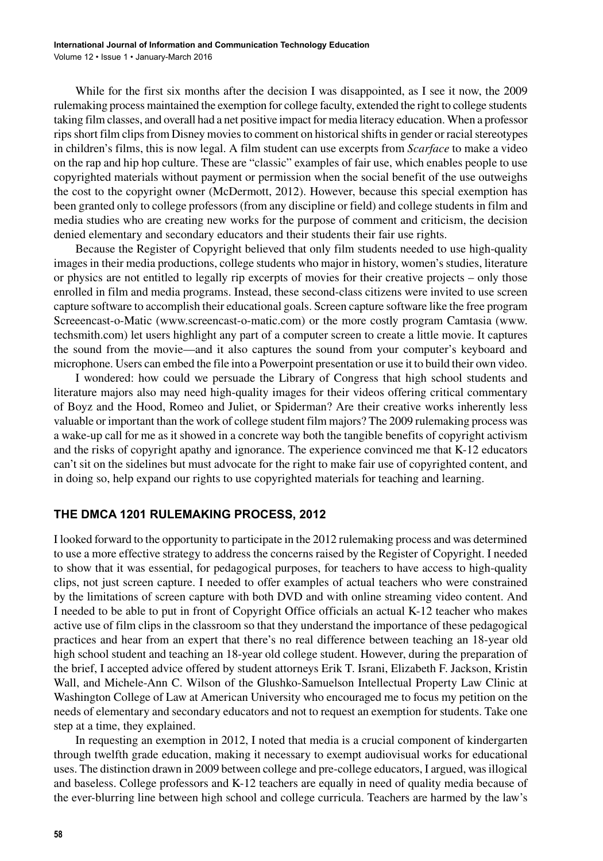While for the first six months after the decision I was disappointed, as I see it now, the 2009 rulemaking process maintained the exemption for college faculty, extended the right to college students taking film classes, and overall had a net positive impact for media literacy education. When a professor rips short film clips from Disney movies to comment on historical shifts in gender or racial stereotypes in children's films, this is now legal. A film student can use excerpts from *Scarface* to make a video on the rap and hip hop culture. These are "classic" examples of fair use, which enables people to use copyrighted materials without payment or permission when the social benefit of the use outweighs the cost to the copyright owner (McDermott, 2012). However, because this special exemption has been granted only to college professors (from any discipline or field) and college students in film and media studies who are creating new works for the purpose of comment and criticism, the decision denied elementary and secondary educators and their students their fair use rights.

Because the Register of Copyright believed that only film students needed to use high-quality images in their media productions, college students who major in history, women's studies, literature or physics are not entitled to legally rip excerpts of movies for their creative projects – only those enrolled in film and media programs. Instead, these second-class citizens were invited to use screen capture software to accomplish their educational goals. Screen capture software like the free program Screeencast-o-Matic ([www.screencast-o-matic.com\)](http://www.screencast-o-matic.com) or the more costly program Camtasia ([www.](http://www.techsmith.com) [techsmith.com\)](http://www.techsmith.com) let users highlight any part of a computer screen to create a little movie. It captures the sound from the movie—and it also captures the sound from your computer's keyboard and microphone. Users can embed the file into a Powerpoint presentation or use it to build their own video.

I wondered: how could we persuade the Library of Congress that high school students and literature majors also may need high-quality images for their videos offering critical commentary of Boyz and the Hood, Romeo and Juliet, or Spiderman? Are their creative works inherently less valuable or important than the work of college student film majors? The 2009 rulemaking process was a wake-up call for me as it showed in a concrete way both the tangible benefits of copyright activism and the risks of copyright apathy and ignorance. The experience convinced me that K-12 educators can't sit on the sidelines but must advocate for the right to make fair use of copyrighted content, and in doing so, help expand our rights to use copyrighted materials for teaching and learning.

### **THE DMCA 1201 RULEMAKING PROCESS, 2012**

I looked forward to the opportunity to participate in the 2012 rulemaking process and was determined to use a more effective strategy to address the concerns raised by the Register of Copyright. I needed to show that it was essential, for pedagogical purposes, for teachers to have access to high-quality clips, not just screen capture. I needed to offer examples of actual teachers who were constrained by the limitations of screen capture with both DVD and with online streaming video content. And I needed to be able to put in front of Copyright Office officials an actual K-12 teacher who makes active use of film clips in the classroom so that they understand the importance of these pedagogical practices and hear from an expert that there's no real difference between teaching an 18-year old high school student and teaching an 18-year old college student. However, during the preparation of the brief, I accepted advice offered by student attorneys Erik T. Israni, Elizabeth F. Jackson, Kristin Wall, and Michele-Ann C. Wilson of the Glushko-Samuelson Intellectual Property Law Clinic at Washington College of Law at American University who encouraged me to focus my petition on the needs of elementary and secondary educators and not to request an exemption for students. Take one step at a time, they explained.

In requesting an exemption in 2012, I noted that media is a crucial component of kindergarten through twelfth grade education, making it necessary to exempt audiovisual works for educational uses. The distinction drawn in 2009 between college and pre-college educators, I argued, was illogical and baseless. College professors and K-12 teachers are equally in need of quality media because of the ever-blurring line between high school and college curricula. Teachers are harmed by the law's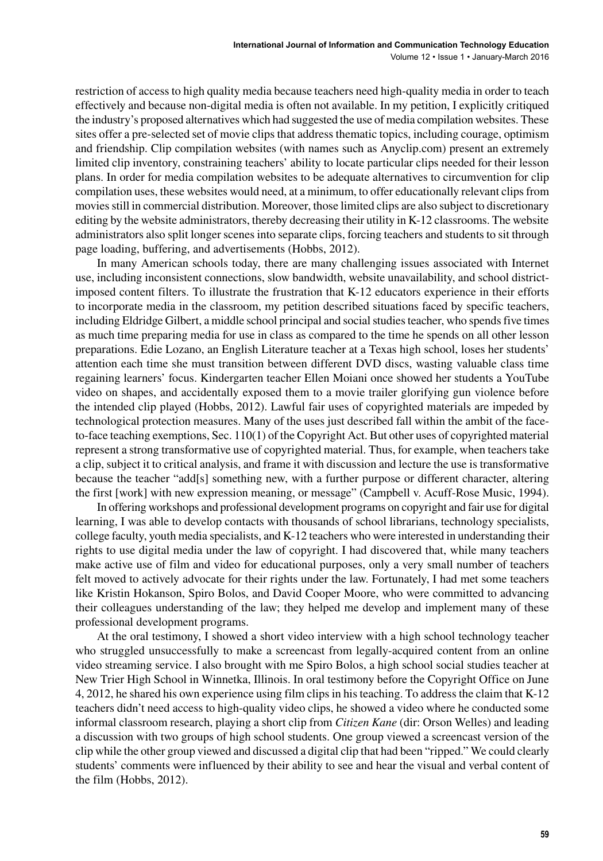restriction of access to high quality media because teachers need high-quality media in order to teach effectively and because non-digital media is often not available. In my petition, I explicitly critiqued the industry's proposed alternatives which had suggested the use of media compilation websites. These sites offer a pre-selected set of movie clips that address thematic topics, including courage, optimism and friendship. Clip compilation websites (with names such as Anyclip.com) present an extremely limited clip inventory, constraining teachers' ability to locate particular clips needed for their lesson plans. In order for media compilation websites to be adequate alternatives to circumvention for clip compilation uses, these websites would need, at a minimum, to offer educationally relevant clips from movies still in commercial distribution. Moreover, those limited clips are also subject to discretionary editing by the website administrators, thereby decreasing their utility in K-12 classrooms. The website administrators also split longer scenes into separate clips, forcing teachers and students to sit through page loading, buffering, and advertisements (Hobbs, 2012).

In many American schools today, there are many challenging issues associated with Internet use, including inconsistent connections, slow bandwidth, website unavailability, and school districtimposed content filters. To illustrate the frustration that K-12 educators experience in their efforts to incorporate media in the classroom, my petition described situations faced by specific teachers, including Eldridge Gilbert, a middle school principal and social studies teacher, who spends five times as much time preparing media for use in class as compared to the time he spends on all other lesson preparations. Edie Lozano, an English Literature teacher at a Texas high school, loses her students' attention each time she must transition between different DVD discs, wasting valuable class time regaining learners' focus. Kindergarten teacher Ellen Moiani once showed her students a YouTube video on shapes, and accidentally exposed them to a movie trailer glorifying gun violence before the intended clip played (Hobbs, 2012). Lawful fair uses of copyrighted materials are impeded by technological protection measures. Many of the uses just described fall within the ambit of the faceto-face teaching exemptions, Sec. 110(1) of the Copyright Act. But other uses of copyrighted material represent a strong transformative use of copyrighted material. Thus, for example, when teachers take a clip, subject it to critical analysis, and frame it with discussion and lecture the use is transformative because the teacher "add[s] something new, with a further purpose or different character, altering the first [work] with new expression meaning, or message" (Campbell v. Acuff-Rose Music, 1994).

In offering workshops and professional development programs on copyright and fair use for digital learning, I was able to develop contacts with thousands of school librarians, technology specialists, college faculty, youth media specialists, and K-12 teachers who were interested in understanding their rights to use digital media under the law of copyright. I had discovered that, while many teachers make active use of film and video for educational purposes, only a very small number of teachers felt moved to actively advocate for their rights under the law. Fortunately, I had met some teachers like Kristin Hokanson, Spiro Bolos, and David Cooper Moore, who were committed to advancing their colleagues understanding of the law; they helped me develop and implement many of these professional development programs.

At the oral testimony, I showed a short video interview with a high school technology teacher who struggled unsuccessfully to make a screencast from legally-acquired content from an online video streaming service. I also brought with me Spiro Bolos, a high school social studies teacher at New Trier High School in Winnetka, Illinois. In oral testimony before the Copyright Office on June 4, 2012, he shared his own experience using film clips in his teaching. To address the claim that K-12 teachers didn't need access to high-quality video clips, he showed a video where he conducted some informal classroom research, playing a short clip from *Citizen Kane* (dir: Orson Welles) and leading a discussion with two groups of high school students. One group viewed a screencast version of the clip while the other group viewed and discussed a digital clip that had been "ripped." We could clearly students' comments were influenced by their ability to see and hear the visual and verbal content of the film (Hobbs, 2012).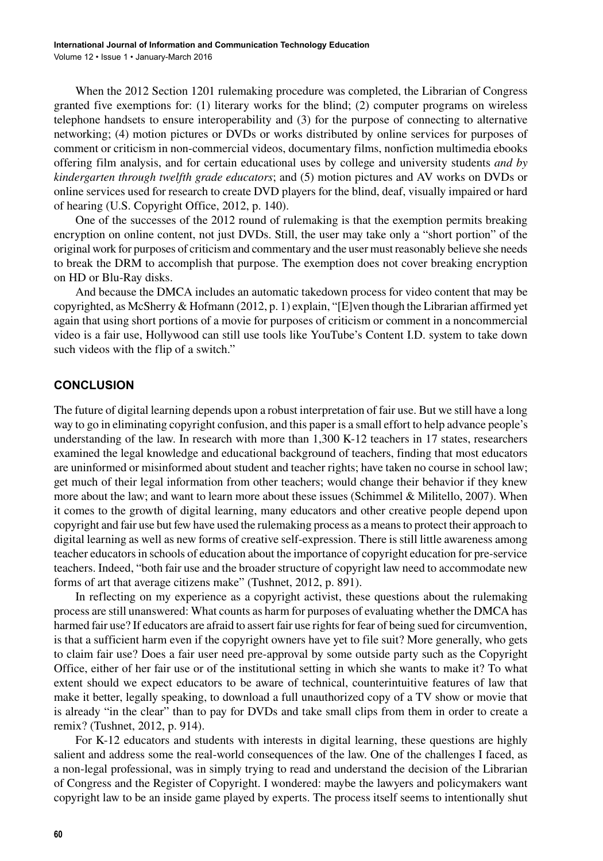When the 2012 Section 1201 rulemaking procedure was completed, the Librarian of Congress granted five exemptions for: (1) literary works for the blind; (2) computer programs on wireless telephone handsets to ensure interoperability and (3) for the purpose of connecting to alternative networking; (4) motion pictures or DVDs or works distributed by online services for purposes of comment or criticism in non-commercial videos, documentary films, nonfiction multimedia ebooks offering film analysis, and for certain educational uses by college and university students *and by kindergarten through twelfth grade educators*; and (5) motion pictures and AV works on DVDs or online services used for research to create DVD players for the blind, deaf, visually impaired or hard of hearing (U.S. Copyright Office, 2012, p. 140).

One of the successes of the 2012 round of rulemaking is that the exemption permits breaking encryption on online content, not just DVDs. Still, the user may take only a "short portion" of the original work for purposes of criticism and commentary and the user must reasonably believe she needs to break the DRM to accomplish that purpose. The exemption does not cover breaking encryption on HD or Blu-Ray disks.

And because the DMCA includes an automatic takedown process for video content that may be copyrighted, as McSherry & Hofmann (2012, p. 1) explain, "[E]ven though the Librarian affirmed yet again that using short portions of a movie for purposes of criticism or comment in a noncommercial video is a fair use, Hollywood can still use tools like YouTube's Content I.D. system to take down such videos with the flip of a switch."

#### **CONCLUSION**

The future of digital learning depends upon a robust interpretation of fair use. But we still have a long way to go in eliminating copyright confusion, and this paper is a small effort to help advance people's understanding of the law. In research with more than 1,300 K-12 teachers in 17 states, researchers examined the legal knowledge and educational background of teachers, finding that most educators are uninformed or misinformed about student and teacher rights; have taken no course in school law; get much of their legal information from other teachers; would change their behavior if they knew more about the law; and want to learn more about these issues (Schimmel & Militello, 2007). When it comes to the growth of digital learning, many educators and other creative people depend upon copyright and fair use but few have used the rulemaking process as a means to protect their approach to digital learning as well as new forms of creative self-expression. There is still little awareness among teacher educators in schools of education about the importance of copyright education for pre-service teachers. Indeed, "both fair use and the broader structure of copyright law need to accommodate new forms of art that average citizens make" (Tushnet, 2012, p. 891).

In reflecting on my experience as a copyright activist, these questions about the rulemaking process are still unanswered: What counts as harm for purposes of evaluating whether the DMCA has harmed fair use? If educators are afraid to assert fair use rights for fear of being sued for circumvention, is that a sufficient harm even if the copyright owners have yet to file suit? More generally, who gets to claim fair use? Does a fair user need pre-approval by some outside party such as the Copyright Office, either of her fair use or of the institutional setting in which she wants to make it? To what extent should we expect educators to be aware of technical, counterintuitive features of law that make it better, legally speaking, to download a full unauthorized copy of a TV show or movie that is already "in the clear" than to pay for DVDs and take small clips from them in order to create a remix? (Tushnet, 2012, p. 914).

For K-12 educators and students with interests in digital learning, these questions are highly salient and address some the real-world consequences of the law. One of the challenges I faced, as a non-legal professional, was in simply trying to read and understand the decision of the Librarian of Congress and the Register of Copyright. I wondered: maybe the lawyers and policymakers want copyright law to be an inside game played by experts. The process itself seems to intentionally shut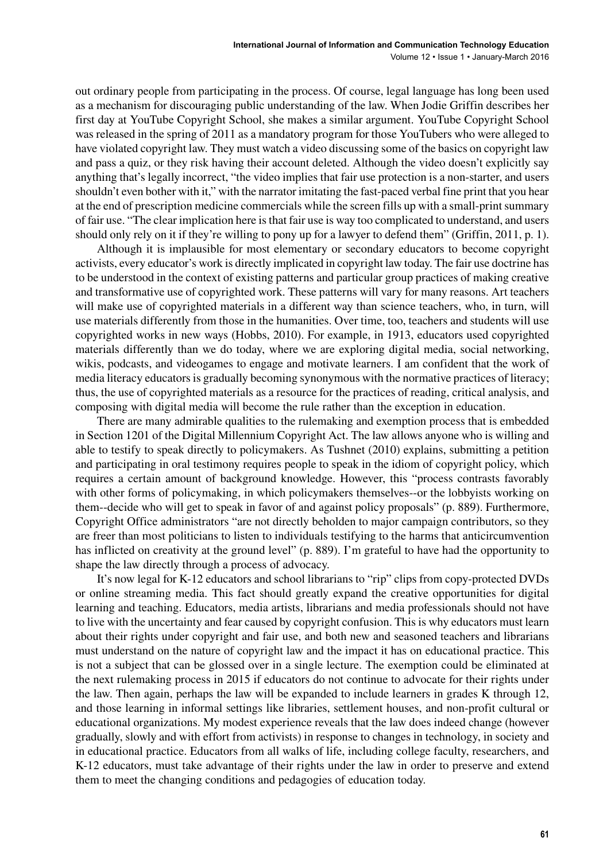out ordinary people from participating in the process. Of course, legal language has long been used as a mechanism for discouraging public understanding of the law. When Jodie Griffin describes her first day at YouTube Copyright School, she makes a similar argument. YouTube Copyright School was released in the spring of 2011 as a mandatory program for those YouTubers who were alleged to have violated copyright law. They must watch a video discussing some of the basics on copyright law and pass a quiz, or they risk having their account deleted. Although the video doesn't explicitly say anything that's legally incorrect, "the video implies that fair use protection is a non-starter, and users shouldn't even bother with it," with the narrator imitating the fast-paced verbal fine print that you hear at the end of prescription medicine commercials while the screen fills up with a small-print summary of fair use. "The clear implication here is that fair use is way too complicated to understand, and users should only rely on it if they're willing to pony up for a lawyer to defend them" (Griffin, 2011, p. 1).

Although it is implausible for most elementary or secondary educators to become copyright activists, every educator's work is directly implicated in copyright law today. The fair use doctrine has to be understood in the context of existing patterns and particular group practices of making creative and transformative use of copyrighted work. These patterns will vary for many reasons. Art teachers will make use of copyrighted materials in a different way than science teachers, who, in turn, will use materials differently from those in the humanities. Over time, too, teachers and students will use copyrighted works in new ways (Hobbs, 2010). For example, in 1913, educators used copyrighted materials differently than we do today, where we are exploring digital media, social networking, wikis, podcasts, and videogames to engage and motivate learners. I am confident that the work of media literacy educators is gradually becoming synonymous with the normative practices of literacy; thus, the use of copyrighted materials as a resource for the practices of reading, critical analysis, and composing with digital media will become the rule rather than the exception in education.

There are many admirable qualities to the rulemaking and exemption process that is embedded in Section 1201 of the Digital Millennium Copyright Act. The law allows anyone who is willing and able to testify to speak directly to policymakers. As Tushnet (2010) explains, submitting a petition and participating in oral testimony requires people to speak in the idiom of copyright policy, which requires a certain amount of background knowledge. However, this "process contrasts favorably with other forms of policymaking, in which policymakers themselves--or the lobbyists working on them--decide who will get to speak in favor of and against policy proposals" (p. 889). Furthermore, Copyright Office administrators "are not directly beholden to major campaign contributors, so they are freer than most politicians to listen to individuals testifying to the harms that anticircumvention has inflicted on creativity at the ground level" (p. 889). I'm grateful to have had the opportunity to shape the law directly through a process of advocacy.

It's now legal for K-12 educators and school librarians to "rip" clips from copy-protected DVDs or online streaming media. This fact should greatly expand the creative opportunities for digital learning and teaching. Educators, media artists, librarians and media professionals should not have to live with the uncertainty and fear caused by copyright confusion. This is why educators must learn about their rights under copyright and fair use, and both new and seasoned teachers and librarians must understand on the nature of copyright law and the impact it has on educational practice. This is not a subject that can be glossed over in a single lecture. The exemption could be eliminated at the next rulemaking process in 2015 if educators do not continue to advocate for their rights under the law. Then again, perhaps the law will be expanded to include learners in grades K through 12, and those learning in informal settings like libraries, settlement houses, and non-profit cultural or educational organizations. My modest experience reveals that the law does indeed change (however gradually, slowly and with effort from activists) in response to changes in technology, in society and in educational practice. Educators from all walks of life, including college faculty, researchers, and K-12 educators, must take advantage of their rights under the law in order to preserve and extend them to meet the changing conditions and pedagogies of education today.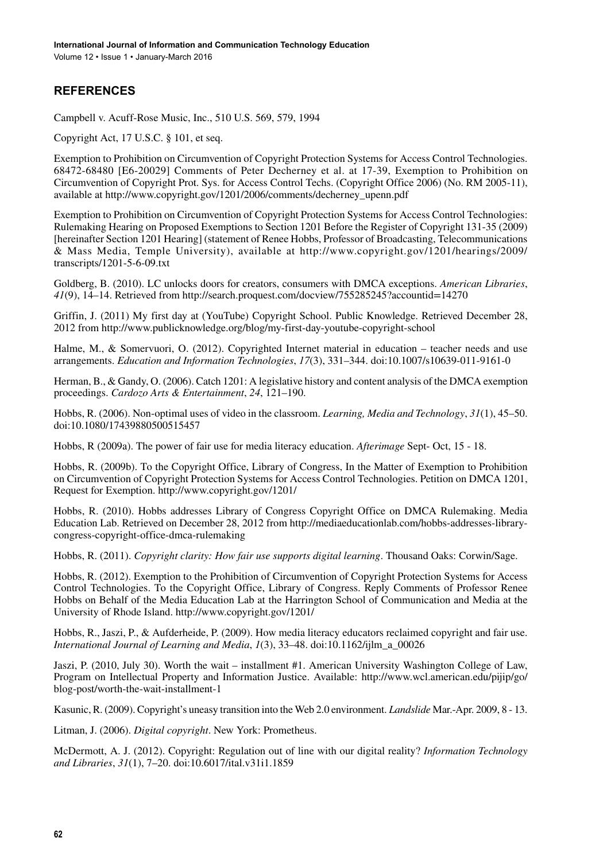# **REFERENCES**

Campbell v. Acuff-Rose Music, Inc., 510 U.S. 569, 579, 1994

Copyright Act, 17 U.S.C. § 101, et seq.

Exemption to Prohibition on Circumvention of Copyright Protection Systems for Access Control Technologies. 68472-68480 [E6-20029] Comments of Peter Decherney et al. at 17-39, Exemption to Prohibition on Circumvention of Copyright Prot. Sys. for Access Control Techs. (Copyright Office 2006) (No. RM 2005-11), available at [http://www.copyright.gov/1201/2006/comments/decherney\\_upenn.pdf](http://www.copyright.gov/1201/2006/comments/decherney_upenn.pdf)

Exemption to Prohibition on Circumvention of Copyright Protection Systems for Access Control Technologies: Rulemaking Hearing on Proposed Exemptions to Section 1201 Before the Register of Copyright 131-35 (2009) [hereinafter Section 1201 Hearing] (statement of Renee Hobbs, Professor of Broadcasting, Telecommunications & Mass Media, Temple University), available at [http://www.copyright.gov/1201/hearings/2009/](http://www.copyright.gov/1201/hearings/2009/transcripts/1201-5-6-09.txt) [transcripts/1201-5-6-09.txt](http://www.copyright.gov/1201/hearings/2009/transcripts/1201-5-6-09.txt)

Goldberg, B. (2010). LC unlocks doors for creators, consumers with DMCA exceptions. *American Libraries*, *41*(9), 14–14. Retrieved from <http://search.proquest.com/docview/755285245?accountid=14270>

Griffin, J. (2011) My first day at (YouTube) Copyright School. Public Knowledge. Retrieved December 28, 2012 from <http://www.publicknowledge.org/blog/my-first-day-youtube-copyright-school>

Halme, M., & Somervuori, O. (2012). Copyrighted Internet material in education – teacher needs and use arrangements. *Education and Information Technologies*, *17*(3), 331–344. doi:[10.1007/s10639-011-9161-0](http://dx.doi.org/10.1007/s10639-011-9161-0)

Herman, B., & Gandy, O. (2006). Catch 1201: A legislative history and content analysis of the DMCA exemption proceedings. *Cardozo Arts & Entertainment*, *24*, 121–190.

Hobbs, R. (2006). Non-optimal uses of video in the classroom. *Learning, Media and Technology*, *31*(1), 45–50. doi[:10.1080/17439880500515457](http://dx.doi.org/10.1080/17439880500515457)

Hobbs, R (2009a). The power of fair use for media literacy education. *Afterimage* Sept- Oct, 15 - 18.

Hobbs, R. (2009b). To the Copyright Office, Library of Congress, In the Matter of Exemption to Prohibition on Circumvention of Copyright Protection Systems for Access Control Technologies. Petition on DMCA 1201, Request for Exemption.<http://www.copyright.gov/1201/>

Hobbs, R. (2010). Hobbs addresses Library of Congress Copyright Office on DMCA Rulemaking. Media Education Lab. Retrieved on December 28, 2012 from [http://mediaeducationlab.com/hobbs-addresses-library](http://mediaeducationlab.com/hobbs-addresses-library-congress-copyright-office-dmca-rulemaking)[congress-copyright-office-dmca-rulemaking](http://mediaeducationlab.com/hobbs-addresses-library-congress-copyright-office-dmca-rulemaking)

Hobbs, R. (2011). *Copyright clarity: How fair use supports digital learning*. Thousand Oaks: Corwin/Sage.

Hobbs, R. (2012). Exemption to the Prohibition of Circumvention of Copyright Protection Systems for Access Control Technologies. To the Copyright Office, Library of Congress. Reply Comments of Professor Renee Hobbs on Behalf of the Media Education Lab at the Harrington School of Communication and Media at the University of Rhode Island. <http://www.copyright.gov/1201/>

Hobbs, R., Jaszi, P., & Aufderheide, P. (2009). How media literacy educators reclaimed copyright and fair use. *International Journal of Learning and Media*, *1*(3), 33–48. doi:[10.1162/ijlm\\_a\\_00026](http://dx.doi.org/10.1162/ijlm_a_00026)

Jaszi, P. (2010, July 30). Worth the wait – installment #1. American University Washington College of Law, Program on Intellectual Property and Information Justice. Available: [http://www.wcl.american.edu/pijip/go/](http://www.wcl.american.edu/pijip/go/blog-post/worth-the-wait-installment-1) [blog-post/worth-the-wait-installment-1](http://www.wcl.american.edu/pijip/go/blog-post/worth-the-wait-installment-1)

Kasunic, R. (2009). Copyright's uneasy transition into the Web 2.0 environment. *Landslide* Mar.-Apr. 2009, 8 - 13.

Litman, J. (2006). *Digital copyright*. New York: Prometheus.

McDermott, A. J. (2012). Copyright: Regulation out of line with our digital reality? *Information Technology and Libraries*, *31*(1), 7–20. doi[:10.6017/ital.v31i1.1859](http://dx.doi.org/10.6017/ital.v31i1.1859)